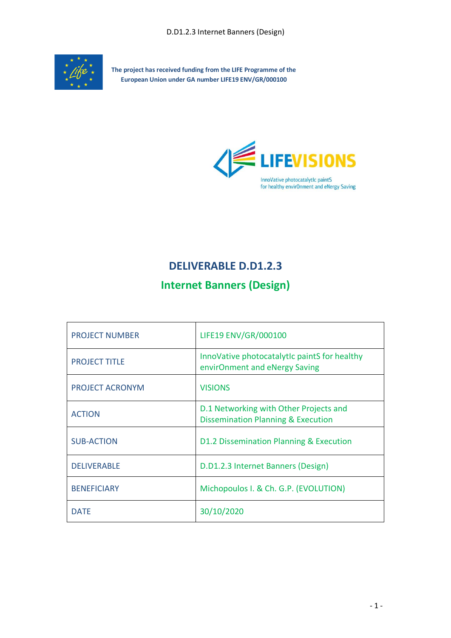

**The project has received funding from the LIFE Programme of the European Union under GA number LIFE19 ENV/GR/000100**



# **DELIVERABLE D.D1.2.3**

# **Internet Banners (Design)**

| <b>PROJECT NUMBER</b> | LIFE19 ENV/GR/000100                                                                    |
|-----------------------|-----------------------------------------------------------------------------------------|
| <b>PROJECT TITLE</b>  | InnoVative photocatalytic paintS for healthy<br>envirOnment and eNergy Saving           |
| PROJECT ACRONYM       | <b>VISIONS</b>                                                                          |
| <b>ACTION</b>         | D.1 Networking with Other Projects and<br><b>Dissemination Planning &amp; Execution</b> |
| <b>SUB-ACTION</b>     | D1.2 Dissemination Planning & Execution                                                 |
| <b>DELIVERABLE</b>    | D.D1.2.3 Internet Banners (Design)                                                      |
| <b>BENEFICIARY</b>    | Michopoulos I. & Ch. G.P. (EVOLUTION)                                                   |
| <b>DATF</b>           | 30/10/2020                                                                              |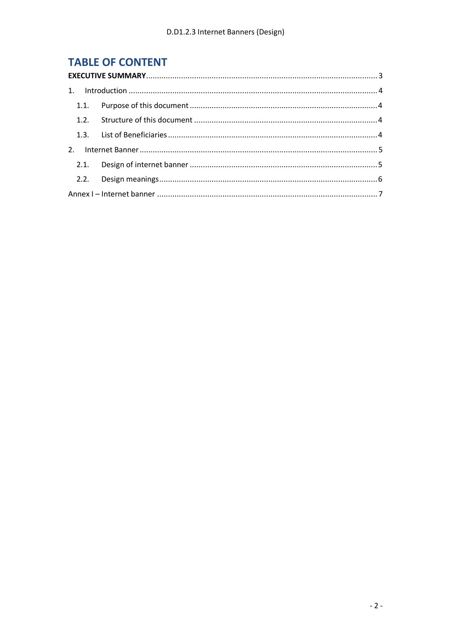# **TABLE OF CONTENT**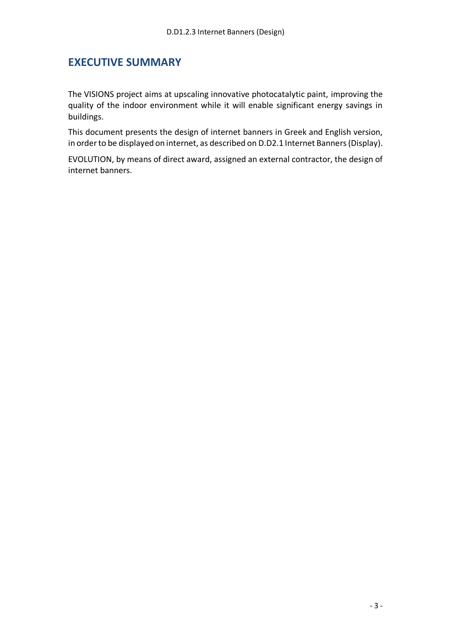#### <span id="page-2-0"></span>**EXECUTIVE SUMMARY**

The VISIONS project aims at upscaling innovative photocatalytic paint, improving the quality of the indoor environment while it will enable significant energy savings in buildings.

This document presents the design of internet banners in Greek and English version, in order to be displayed on internet, as described on D.D2.1 Internet Banners(Display).

EVOLUTION, by means of direct award, assigned an external contractor, the design of internet banners.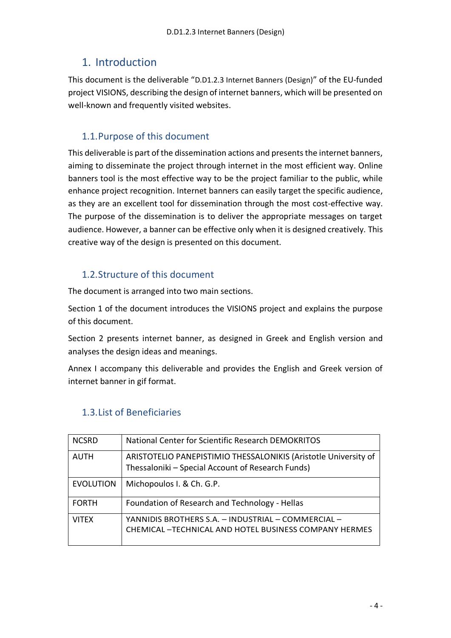## <span id="page-3-0"></span>1. Introduction

This document is the deliverable "D.D1.2.3 Internet Banners (Design)" of the EU‐funded project VISIONS, describing the design of internet banners, which will be presented on well-known and frequently visited websites.

## <span id="page-3-1"></span>1.1.Purpose of this document

This deliverable is part of the dissemination actions and presents the internet banners, aiming to disseminate the project through internet in the most efficient way. Online banners tool is the most effective way to be the project familiar to the public, while enhance project recognition. Internet banners can easily target the specific audience, as they are an excellent tool for dissemination through the most cost-effective way. The purpose of the dissemination is to deliver the appropriate messages on target audience. However, a banner can be effective only when it is designed creatively. This creative way of the design is presented on this document.

### <span id="page-3-2"></span>1.2.Structure of this document

The document is arranged into two main sections.

Section 1 of the document introduces the VISIONS project and explains the purpose of this document.

Section 2 presents internet banner, as designed in Greek and English version and analyses the design ideas and meanings.

Annex I accompany this deliverable and provides the English and Greek version of internet banner in gif format.

| <b>NCSRD</b>     | National Center for Scientific Research DEMOKRITOS                                                                   |
|------------------|----------------------------------------------------------------------------------------------------------------------|
| <b>AUTH</b>      | ARISTOTELIO PANEPISTIMIO THESSALONIKIS (Aristotle University of<br>Thessaloniki - Special Account of Research Funds) |
| <b>EVOLUTION</b> | Michopoulos I. & Ch. G.P.                                                                                            |
| <b>FORTH</b>     | Foundation of Research and Technology - Hellas                                                                       |
| <b>VITEX</b>     | YANNIDIS BROTHERS S.A. - INDUSTRIAL - COMMERCIAL -<br><b>CHEMICAL-TECHNICAL AND HOTEL BUSINESS COMPANY HERMES</b>    |

### <span id="page-3-3"></span>1.3.List of Beneficiaries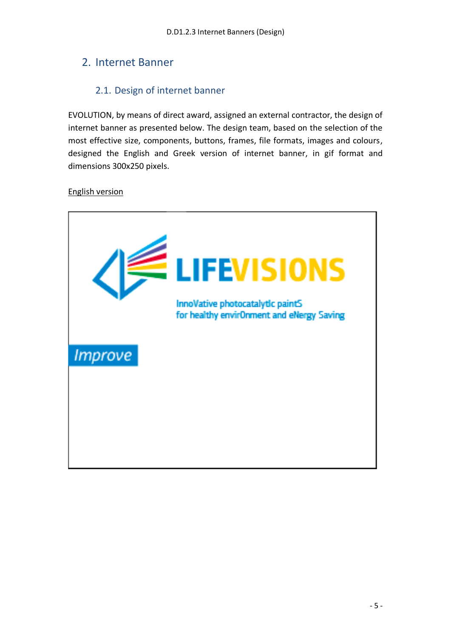## <span id="page-4-0"></span>2. Internet Banner

### 2.1. Design of internet banner

<span id="page-4-1"></span>EVOLUTION, by means of direct award, assigned an external contractor, the design of internet banner as presented below. The design team, based on the selection of the most effective size, components, buttons, frames, file formats, images and colours, designed the English and Greek version of internet banner, in gif format and dimensions 300x250 pixels.

#### English version

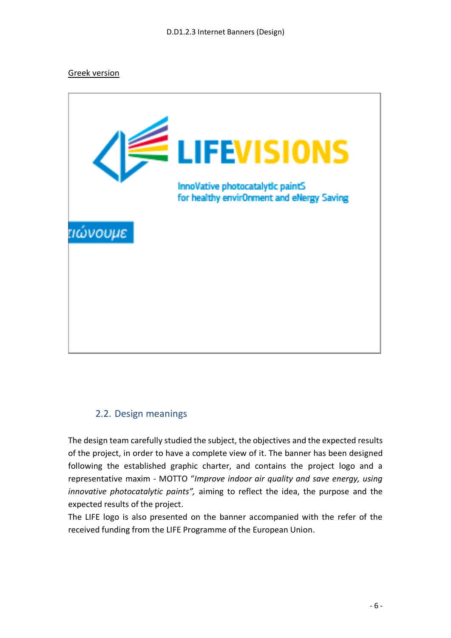#### Greek version



#### <span id="page-5-0"></span>2.2. Design meanings

The design team carefully studied the subject, the objectives and the expected results of the project, in order to have a complete view of it. The banner has been designed following the established graphic charter, and contains the project logo and a representative maxim - MOTΤO "*Improve indoor air quality and save energy, using innovative photocatalytic paints",* aiming to reflect the idea, the purpose and the expected results of the project.

The LIFE logo is also presented on the banner accompanied with the refer of the received funding from the LIFE Programme of the European Union.